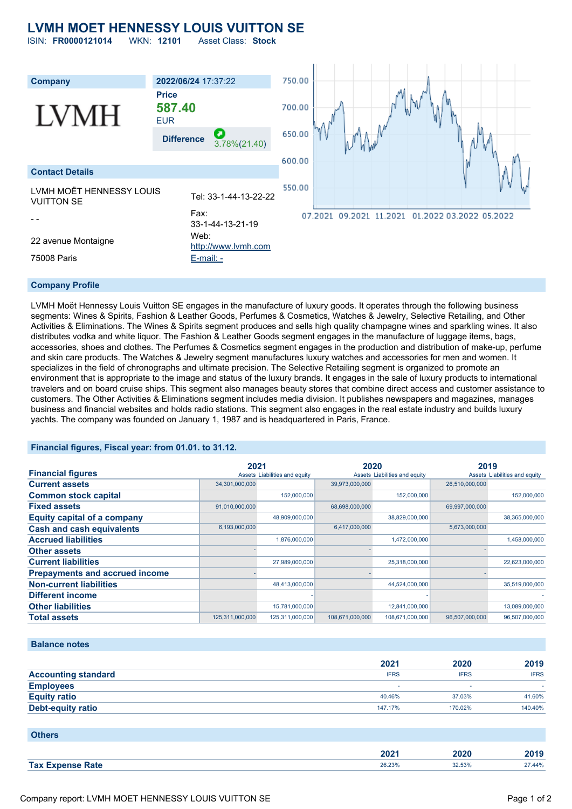# **LVMH MOET HENNESSY LOUIS VUITTON SE**

ISIN: **FR0000121014** WKN: **12101** Asset Class: **Stock**



## **Company Profile**

LVMH Moët Hennessy Louis Vuitton SE engages in the manufacture of luxury goods. It operates through the following business segments: Wines & Spirits, Fashion & Leather Goods, Perfumes & Cosmetics, Watches & Jewelry, Selective Retailing, and Other Activities & Eliminations. The Wines & Spirits segment produces and sells high quality champagne wines and sparkling wines. It also distributes vodka and white liquor. The Fashion & Leather Goods segment engages in the manufacture of luggage items, bags, accessories, shoes and clothes. The Perfumes & Cosmetics segment engages in the production and distribution of make-up, perfume and skin care products. The Watches & Jewelry segment manufactures luxury watches and accessories for men and women. It specializes in the field of chronographs and ultimate precision. The Selective Retailing segment is organized to promote an environment that is appropriate to the image and status of the luxury brands. It engages in the sale of luxury products to international travelers and on board cruise ships. This segment also manages beauty stores that combine direct access and customer assistance to customers. The Other Activities & Eliminations segment includes media division. It publishes newspapers and magazines, manages business and financial websites and holds radio stations. This segment also engages in the real estate industry and builds luxury yachts. The company was founded on January 1, 1987 and is headquartered in Paris, France.

## **Financial figures, Fiscal year: from 01.01. to 31.12.**

|                                       | 2021            |                               | 2020            |                               | 2019           |                               |
|---------------------------------------|-----------------|-------------------------------|-----------------|-------------------------------|----------------|-------------------------------|
| <b>Financial figures</b>              |                 | Assets Liabilities and equity |                 | Assets Liabilities and equity |                | Assets Liabilities and equity |
| <b>Current assets</b>                 | 34,301,000,000  |                               | 39,973,000,000  |                               | 26,510,000,000 |                               |
| <b>Common stock capital</b>           |                 | 152,000,000                   |                 | 152,000,000                   |                | 152,000,000                   |
| <b>Fixed assets</b>                   | 91,010,000,000  |                               | 68,698,000,000  |                               | 69,997,000,000 |                               |
| <b>Equity capital of a company</b>    |                 | 48,909,000,000                |                 | 38,829,000,000                |                | 38,365,000,000                |
| <b>Cash and cash equivalents</b>      | 6,193,000,000   |                               | 6,417,000,000   |                               | 5,673,000,000  |                               |
| <b>Accrued liabilities</b>            |                 | 1,876,000,000                 |                 | 1,472,000,000                 |                | 1,458,000,000                 |
| <b>Other assets</b>                   |                 |                               |                 |                               |                |                               |
| <b>Current liabilities</b>            |                 | 27,989,000,000                |                 | 25,318,000,000                |                | 22,623,000,000                |
| <b>Prepayments and accrued income</b> |                 |                               |                 |                               |                |                               |
| <b>Non-current liabilities</b>        |                 | 48,413,000,000                |                 | 44,524,000,000                |                | 35,519,000,000                |
| <b>Different income</b>               |                 |                               |                 |                               |                |                               |
| <b>Other liabilities</b>              |                 | 15,781,000,000                |                 | 12,841,000,000                |                | 13,089,000,000                |
| <b>Total assets</b>                   | 125,311,000,000 | 125,311,000,000               | 108,671,000,000 | 108,671,000,000               | 96,507,000,000 | 96,507,000,000                |

#### **Balance notes**

|                            | 2021        | 2020        | 2019        |
|----------------------------|-------------|-------------|-------------|
| <b>Accounting standard</b> | <b>IFRS</b> | <b>IFRS</b> | <b>IFRS</b> |
| <b>Employees</b>           | -           |             |             |
| <b>Equity ratio</b>        | 40.46%      | 37.03%      | 41.60%      |
| <b>Debt-equity ratio</b>   | 147.17%     | 170.02%     | 140.40%     |

| <b>Others</b>           |        |        |        |
|-------------------------|--------|--------|--------|
|                         | 2021   | 2020   | 2019   |
| <b>Tax Expense Rate</b> | 26.23% | 32.53% | 27.44% |